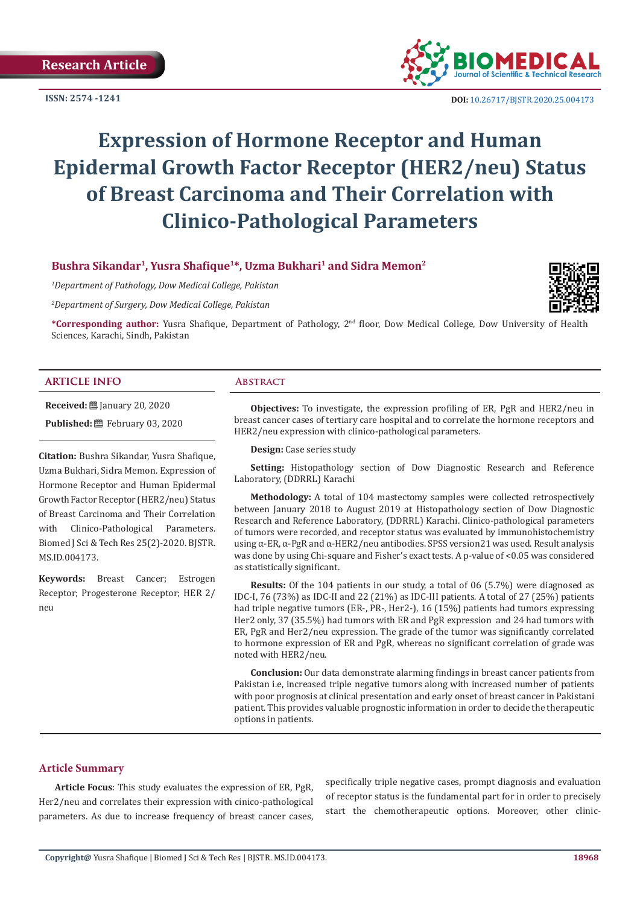**ISSN: 2574 -1241**



 **DOI:** [10.26717/BJSTR.2020.25.0041](http://dx.doi.org/10.26717/BJSTR.2020.25.004173)73

# **Expression of Hormone Receptor and Human Epidermal Growth Factor Receptor (HER2/neu) Status of Breast Carcinoma and Their Correlation with Clinico-Pathological Parameters**

# **Bushra Sikandar1, Yusra Shafique1\*, Uzma Bukhari1 and Sidra Memon2**

*1 Department of Pathology, Dow Medical College, Pakistan*

*2 Department of Surgery, Dow Medical College, Pakistan*



**\*Corresponding author:** Yusra Shafique, Department of Pathology, 2nd floor, Dow Medical College, Dow University of Health Sciences, Karachi, Sindh, Pakistan

# **ARTICLE INFO Abstract**

**Received:** January 20, 2020

**Published:** February 03, 2020

**Citation:** Bushra Sikandar, Yusra Shafique, Uzma Bukhari, Sidra Memon. Expression of Hormone Receptor and Human Epidermal Growth Factor Receptor (HER2/neu) Status of Breast Carcinoma and Their Correlation with Clinico-Pathological Parameters. Biomed J Sci & Tech Res 25(2)-2020. BJSTR. MS.ID.004173.

**Keywords:** Breast Cancer; Estrogen Receptor; Progesterone Receptor; HER 2/ neu

**Objectives:** To investigate, the expression profiling of ER, PgR and HER2/neu in breast cancer cases of tertiary care hospital and to correlate the hormone receptors and HER2/neu expression with clinico-pathological parameters.

**Design:** Case series study

**Setting:** Histopathology section of Dow Diagnostic Research and Reference Laboratory, (DDRRL) Karachi

**Methodology:** A total of 104 mastectomy samples were collected retrospectively between January 2018 to August 2019 at Histopathology section of Dow Diagnostic Research and Reference Laboratory, (DDRRL) Karachi. Clinico-pathological parameters of tumors were recorded, and receptor status was evaluated by immunohistochemistry using  $\alpha$ -ER,  $\alpha$ -PgR and  $\alpha$ -HER2/neu antibodies. SPSS version21 was used. Result analysis was done by using Chi-square and Fisher's exact tests. A p-value of <0.05 was considered as statistically significant.

**Results:** Of the 104 patients in our study, a total of 06 (5.7%) were diagnosed as IDC-I, 76 (73%) as IDC-II and 22 (21%) as IDC-III patients. A total of 27 (25%) patients had triple negative tumors (ER-, PR-, Her2-), 16 (15%) patients had tumors expressing Her2 only, 37 (35.5%) had tumors with ER and PgR expression and 24 had tumors with ER, PgR and Her2/neu expression. The grade of the tumor was significantly correlated to hormone expression of ER and PgR, whereas no significant correlation of grade was noted with HER2/neu.

**Conclusion:** Our data demonstrate alarming findings in breast cancer patients from Pakistan i.e, increased triple negative tumors along with increased number of patients with poor prognosis at clinical presentation and early onset of breast cancer in Pakistani patient. This provides valuable prognostic information in order to decide the therapeutic options in patients.

# **Article Summary**

**Article Focus**: This study evaluates the expression of ER, PgR, Her2/neu and correlates their expression with cinico-pathological parameters. As due to increase frequency of breast cancer cases, specifically triple negative cases, prompt diagnosis and evaluation of receptor status is the fundamental part for in order to precisely start the chemotherapeutic options. Moreover, other clinic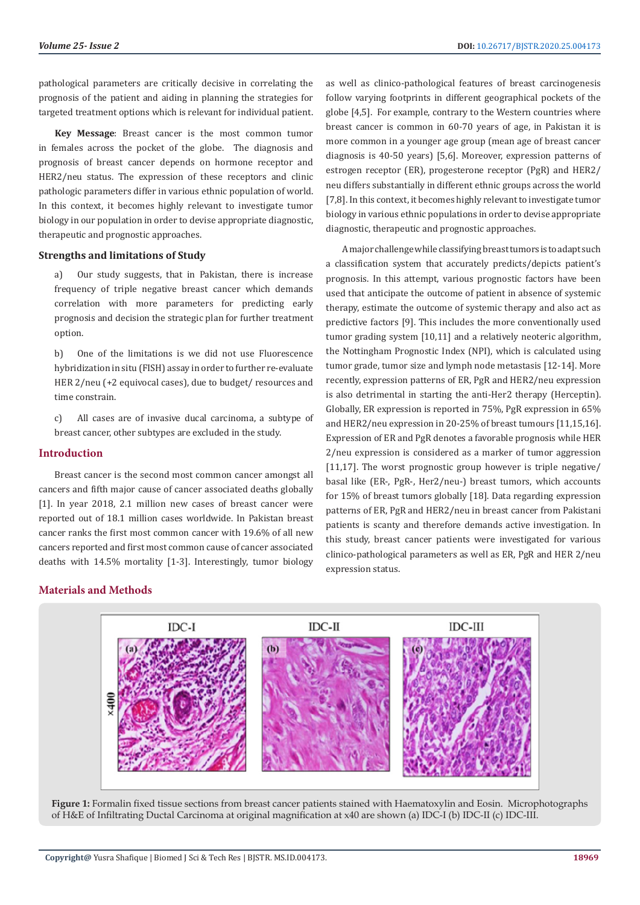pathological parameters are critically decisive in correlating the prognosis of the patient and aiding in planning the strategies for targeted treatment options which is relevant for individual patient.

**Key Message**: Breast cancer is the most common tumor in females across the pocket of the globe. The diagnosis and prognosis of breast cancer depends on hormone receptor and HER2/neu status. The expression of these receptors and clinic pathologic parameters differ in various ethnic population of world. In this context, it becomes highly relevant to investigate tumor biology in our population in order to devise appropriate diagnostic, therapeutic and prognostic approaches.

#### **Strengths and limitations of Study**

a) Our study suggests, that in Pakistan, there is increase frequency of triple negative breast cancer which demands correlation with more parameters for predicting early prognosis and decision the strategic plan for further treatment option.

b) One of the limitations is we did not use Fluorescence hybridization in situ (FISH) assay in order to further re-evaluate HER 2/neu (+2 equivocal cases), due to budget/ resources and time constrain.

c) All cases are of invasive ducal carcinoma, a subtype of breast cancer, other subtypes are excluded in the study.

# **Introduction**

Breast cancer is the second most common cancer amongst all cancers and fifth major cause of cancer associated deaths globally [1]. In year 2018, 2.1 million new cases of breast cancer were reported out of 18.1 million cases worldwide. In Pakistan breast cancer ranks the first most common cancer with 19.6% of all new cancers reported and first most common cause of cancer associated deaths with 14.5% mortality [1-3]. Interestingly, tumor biology

as well as clinico-pathological features of breast carcinogenesis follow varying footprints in different geographical pockets of the globe [4,5]. For example, contrary to the Western countries where breast cancer is common in 60-70 years of age, in Pakistan it is more common in a younger age group (mean age of breast cancer diagnosis is 40-50 years) [5,6]. Moreover, expression patterns of estrogen receptor (ER), progesterone receptor (PgR) and HER2/ neu differs substantially in different ethnic groups across the world [7,8]. In this context, it becomes highly relevant to investigate tumor biology in various ethnic populations in order to devise appropriate diagnostic, therapeutic and prognostic approaches.

A major challenge while classifying breast tumors is to adapt such a classification system that accurately predicts/depicts patient's prognosis. In this attempt, various prognostic factors have been used that anticipate the outcome of patient in absence of systemic therapy, estimate the outcome of systemic therapy and also act as predictive factors [9]. This includes the more conventionally used tumor grading system [10,11] and a relatively neoteric algorithm, the Nottingham Prognostic Index (NPI), which is calculated using tumor grade, tumor size and lymph node metastasis [12-14]. More recently, expression patterns of ER, PgR and HER2/neu expression is also detrimental in starting the anti-Her2 therapy (Herceptin). Globally, ER expression is reported in 75%, PgR expression in 65% and HER2/neu expression in 20-25% of breast tumours [11,15,16]. Expression of ER and PgR denotes a favorable prognosis while HER 2/neu expression is considered as a marker of tumor aggression [11,17]. The worst prognostic group however is triple negative/ basal like (ER-, PgR-, Her2/neu-) breast tumors, which accounts for 15% of breast tumors globally [18]. Data regarding expression patterns of ER, PgR and HER2/neu in breast cancer from Pakistani patients is scanty and therefore demands active investigation. In this study, breast cancer patients were investigated for various clinico-pathological parameters as well as ER, PgR and HER 2/neu expression status.

# **Materials and Methods**



**Figure 1:** Formalin fixed tissue sections from breast cancer patients stained with Haematoxylin and Eosin. Microphotographs of H&E of Infiltrating Ductal Carcinoma at original magnification at x40 are shown (a) IDC-I (b) IDC-II (c) IDC-III.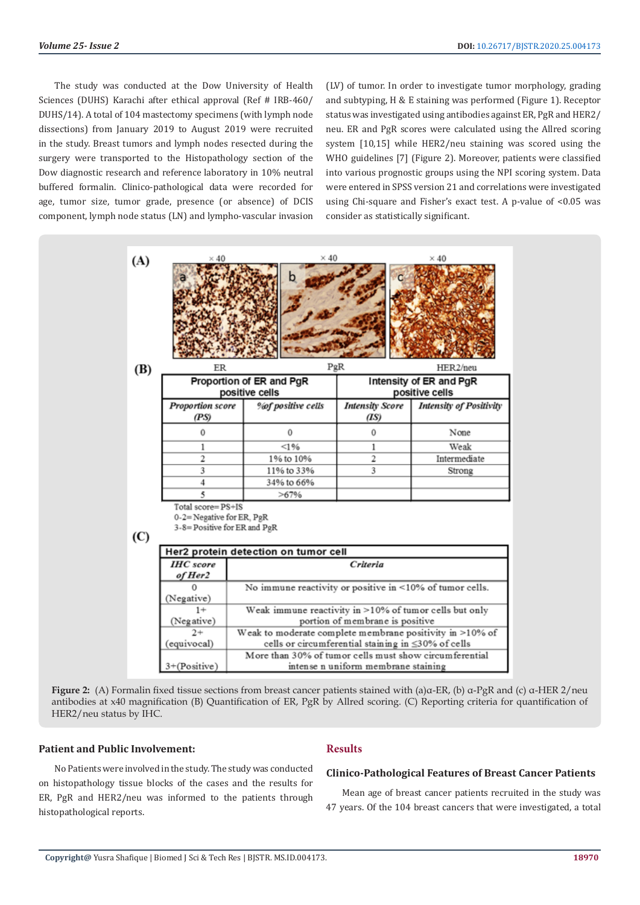The study was conducted at the Dow University of Health Sciences (DUHS) Karachi after ethical approval (Ref # IRB-460/ DUHS/14). A total of 104 mastectomy specimens (with lymph node dissections) from January 2019 to August 2019 were recruited in the study. Breast tumors and lymph nodes resected during the surgery were transported to the Histopathology section of the Dow diagnostic research and reference laboratory in 10% neutral buffered formalin. Clinico-pathological data were recorded for age, tumor size, tumor grade, presence (or absence) of DCIS component, lymph node status (LN) and lympho-vascular invasion

(LV) of tumor. In order to investigate tumor morphology, grading and subtyping, H & E staining was performed (Figure 1). Receptor status was investigated using antibodies against ER, PgR and HER2/ neu. ER and PgR scores were calculated using the Allred scoring system [10,15] while HER2/neu staining was scored using the WHO guidelines [7] (Figure 2). Moreover, patients were classified into various prognostic groups using the NPI scoring system. Data were entered in SPSS version 21 and correlations were investigated using Chi-square and Fisher's exact test. A p-value of <0.05 was consider as statistically significant.



**Figure 2:** (A) Formalin fixed tissue sections from breast cancer patients stained with (a)α-ER, (b) α-PgR and (c) α-HER 2/neu antibodies at x40 magnification (B) Quantification of ER, PgR by Allred scoring. (C) Reporting criteria for quantification of HER2/neu status by IHC.

### **Patient and Public Involvement:**

No Patients were involved in the study. The study was conducted on histopathology tissue blocks of the cases and the results for ER, PgR and HER2/neu was informed to the patients through histopathological reports.

# **Results**

# **Clinico-Pathological Features of Breast Cancer Patients**

Mean age of breast cancer patients recruited in the study was 47 years. Of the 104 breast cancers that were investigated, a total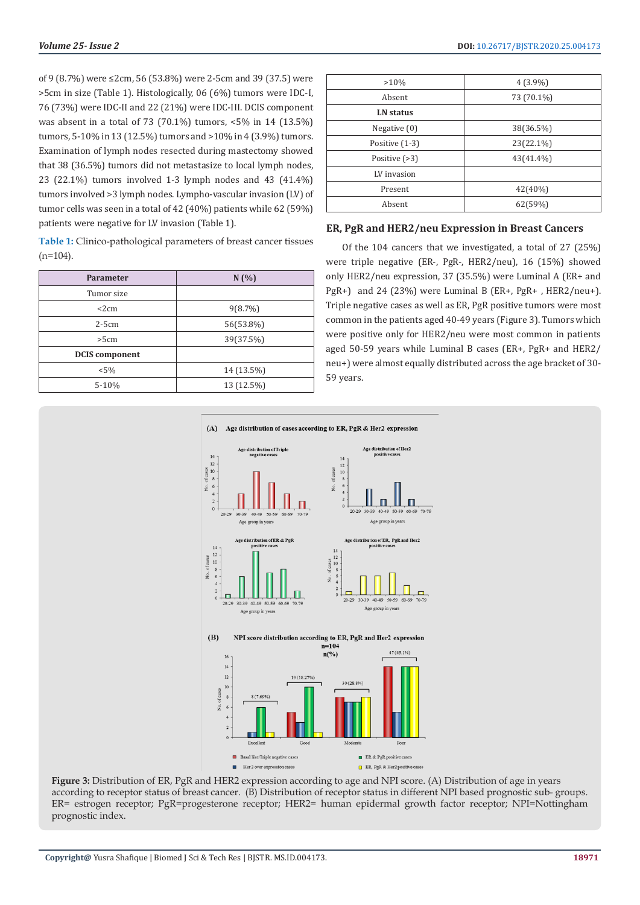of 9 (8.7%) were ≤2cm, 56 (53.8%) were 2-5cm and 39 (37.5) were >5cm in size (Table 1). Histologically, 06 (6%) tumors were IDC-I, 76 (73%) were IDC-II and 22 (21%) were IDC-III. DCIS component was absent in a total of 73 (70.1%) tumors, <5% in 14 (13.5%) tumors, 5-10% in 13 (12.5%) tumors and >10% in 4 (3.9%) tumors. Examination of lymph nodes resected during mastectomy showed that 38 (36.5%) tumors did not metastasize to local lymph nodes, 23 (22.1%) tumors involved 1-3 lymph nodes and 43 (41.4%) tumors involved >3 lymph nodes. Lympho-vascular invasion (LV) of tumor cells was seen in a total of 42 (40%) patients while 62 (59%) patients were negative for LV invasion (Table 1).

**Table 1:** Clinico-pathological parameters of breast cancer tissues  $(n=104)$ .

| Parameter             | N(%)       |  |  |
|-----------------------|------------|--|--|
| Tumor size            |            |  |  |
| <2cm                  | $9(8.7\%)$ |  |  |
| $2-5cm$               | 56(53.8%)  |  |  |
| >5cm                  | 39(37.5%)  |  |  |
| <b>DCIS</b> component |            |  |  |
| $< 5\%$               | 14 (13.5%) |  |  |
| 5-10%                 | 13 (12.5%) |  |  |

| $4(3.9\%)$ |  |  |
|------------|--|--|
| 73 (70.1%) |  |  |
|            |  |  |
| 38(36.5%)  |  |  |
| 23(22.1%)  |  |  |
| 43(41.4%)  |  |  |
|            |  |  |
| 42(40%)    |  |  |
| 62(59%)    |  |  |
|            |  |  |

#### **ER, PgR and HER2/neu Expression in Breast Cancers**

Of the 104 cancers that we investigated, a total of 27 (25%) were triple negative (ER-, PgR-, HER2/neu), 16 (15%) showed only HER2/neu expression, 37 (35.5%) were Luminal A (ER+ and PgR+) and 24 (23%) were Luminal B (ER+, PgR+ , HER2/neu+). Triple negative cases as well as ER, PgR positive tumors were most common in the patients aged 40-49 years (Figure 3). Tumors which were positive only for HER2/neu were most common in patients aged 50-59 years while Luminal B cases (ER+, PgR+ and HER2/ neu+) were almost equally distributed across the age bracket of 30- 59 years.



**Figure 3:** Distribution of ER, PgR and HER2 expression according to age and NPI score. (A) Distribution of age in years according to receptor status of breast cancer. (B) Distribution of receptor status in different NPI based prognostic sub- groups. ER= estrogen receptor; PgR=progesterone receptor; HER2= human epidermal growth factor receptor; NPI=Nottingham prognostic index.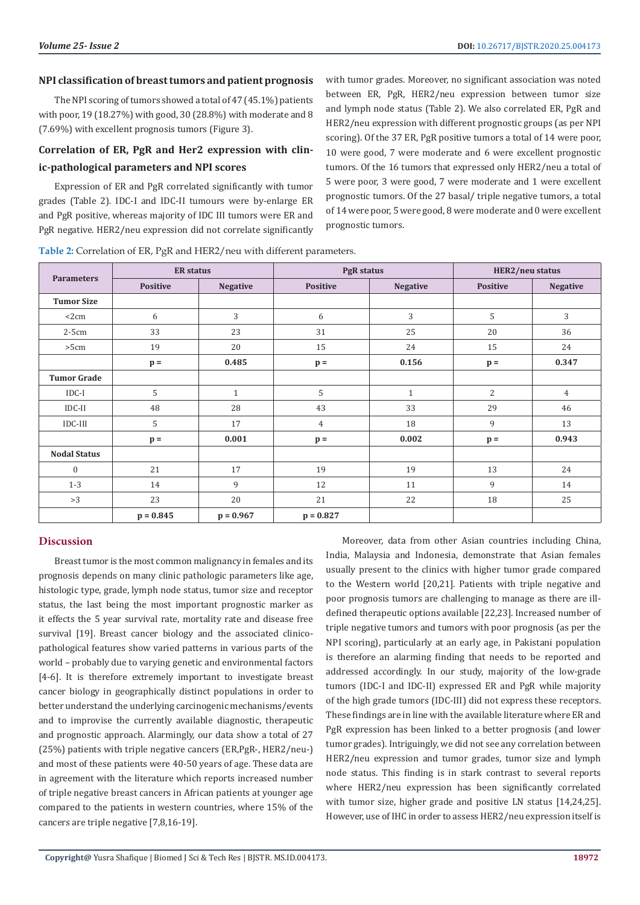# **NPI classification of breast tumors and patient prognosis**

The NPI scoring of tumors showed a total of 47 (45.1%) patients with poor, 19 (18.27%) with good, 30 (28.8%) with moderate and 8 (7.69%) with excellent prognosis tumors (Figure 3).

# **Correlation of ER, PgR and Her2 expression with clinic-pathological parameters and NPI scores**

Expression of ER and PgR correlated significantly with tumor grades (Table 2). IDC-I and IDC-II tumours were by-enlarge ER and PgR positive, whereas majority of IDC III tumors were ER and PgR negative. HER2/neu expression did not correlate significantly with tumor grades. Moreover, no significant association was noted between ER, PgR, HER2/neu expression between tumor size and lymph node status (Table 2). We also correlated ER, PgR and HER2/neu expression with different prognostic groups (as per NPI scoring). Of the 37 ER, PgR positive tumors a total of 14 were poor, 10 were good, 7 were moderate and 6 were excellent prognostic tumors. Of the 16 tumors that expressed only HER2/neu a total of 5 were poor, 3 were good, 7 were moderate and 1 were excellent prognostic tumors. Of the 27 basal/ triple negative tumors, a total of 14 were poor, 5 were good, 8 were moderate and 0 were excellent prognostic tumors.

| <b>Parameters</b>   | <b>ER</b> status |                 | <b>PgR</b> status |                 | HER2/neu status |                 |
|---------------------|------------------|-----------------|-------------------|-----------------|-----------------|-----------------|
|                     | <b>Positive</b>  | <b>Negative</b> | <b>Positive</b>   | <b>Negative</b> | <b>Positive</b> | <b>Negative</b> |
| <b>Tumor Size</b>   |                  |                 |                   |                 |                 |                 |
| $<$ 2 $cm$          | 6                | 3               | 6                 | 3               | 5               | 3               |
| $2-5cm$             | 33               | 23              | 31                | 25              | 20              | 36              |
| >5cm                | 19               | 20              | 15                | 24              | 15              | 24              |
|                     | $p =$            | 0.485           | $p =$             | 0.156           | $p =$           | 0.347           |
| <b>Tumor Grade</b>  |                  |                 |                   |                 |                 |                 |
| $IDC-I$             | 5                | $\mathbf{1}$    | 5                 | $\mathbf{1}$    | $\overline{2}$  | 4               |
| $IDC-II$            | 48               | 28              | 43                | 33              | 29              | 46              |
| IDC-III             | 5                | 17              | 4                 | 18              | 9               | 13              |
|                     | $p =$            | 0.001           | $p =$             | 0.002           | $p =$           | 0.943           |
| <b>Nodal Status</b> |                  |                 |                   |                 |                 |                 |
| $\boldsymbol{0}$    | 21               | 17              | 19                | 19              | 13              | 24              |
| $1 - 3$             | 14               | 9               | 12                | 11              | 9               | 14              |
| >3                  | 23               | 20              | 21                | 22              | 18              | 25              |
|                     | $p = 0.845$      | $p = 0.967$     | $p = 0.827$       |                 |                 |                 |

**Table 2:** Correlation of ER, PgR and HER2/neu with different parameters.

# **Discussion**

Breast tumor is the most common malignancy in females and its prognosis depends on many clinic pathologic parameters like age, histologic type, grade, lymph node status, tumor size and receptor status, the last being the most important prognostic marker as it effects the 5 year survival rate, mortality rate and disease free survival [19]. Breast cancer biology and the associated clinicopathological features show varied patterns in various parts of the world – probably due to varying genetic and environmental factors [4-6]. It is therefore extremely important to investigate breast cancer biology in geographically distinct populations in order to better understand the underlying carcinogenic mechanisms/events and to improvise the currently available diagnostic, therapeutic and prognostic approach. Alarmingly, our data show a total of 27 (25%) patients with triple negative cancers (ER,PgR-, HER2/neu-) and most of these patients were 40-50 years of age. These data are in agreement with the literature which reports increased number of triple negative breast cancers in African patients at younger age compared to the patients in western countries, where 15% of the cancers are triple negative [7,8,16-19].

Moreover, data from other Asian countries including China, India, Malaysia and Indonesia, demonstrate that Asian females usually present to the clinics with higher tumor grade compared to the Western world [20,21]. Patients with triple negative and poor prognosis tumors are challenging to manage as there are illdefined therapeutic options available [22,23]. Increased number of triple negative tumors and tumors with poor prognosis (as per the NPI scoring), particularly at an early age, in Pakistani population is therefore an alarming finding that needs to be reported and addressed accordingly. In our study, majority of the low-grade tumors (IDC-I and IDC-II) expressed ER and PgR while majority of the high grade tumors (IDC-III) did not express these receptors. These findings are in line with the available literature where ER and PgR expression has been linked to a better prognosis (and lower tumor grades). Intriguingly, we did not see any correlation between HER2/neu expression and tumor grades, tumor size and lymph node status. This finding is in stark contrast to several reports where HER2/neu expression has been significantly correlated with tumor size, higher grade and positive LN status [14,24,25]. However, use of IHC in order to assess HER2/neu expression itself is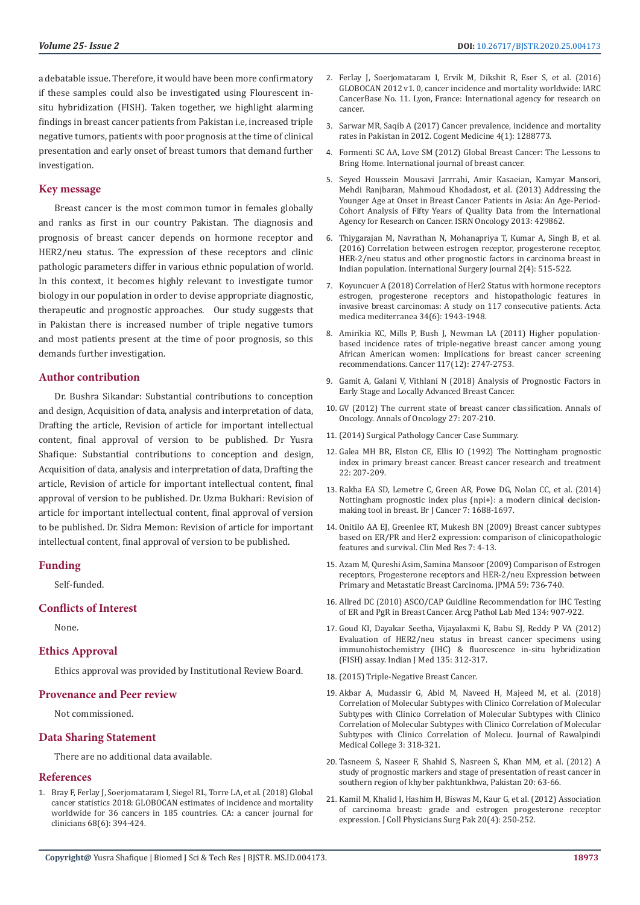a debatable issue. Therefore, it would have been more confirmatory if these samples could also be investigated using Flourescent insitu hybridization (FISH). Taken together, we highlight alarming findings in breast cancer patients from Pakistan i.e, increased triple negative tumors, patients with poor prognosis at the time of clinical presentation and early onset of breast tumors that demand further investigation.

#### **Key message**

Breast cancer is the most common tumor in females globally and ranks as first in our country Pakistan. The diagnosis and prognosis of breast cancer depends on hormone receptor and HER2/neu status. The expression of these receptors and clinic pathologic parameters differ in various ethnic population of world. In this context, it becomes highly relevant to investigate tumor biology in our population in order to devise appropriate diagnostic, therapeutic and prognostic approaches. Our study suggests that in Pakistan there is increased number of triple negative tumors and most patients present at the time of poor prognosis, so this demands further investigation.

#### **Author contribution**

Dr. Bushra Sikandar: Substantial contributions to conception and design, Acquisition of data, analysis and interpretation of data, Drafting the article, Revision of article for important intellectual content, final approval of version to be published. Dr Yusra Shafique: Substantial contributions to conception and design, Acquisition of data, analysis and interpretation of data, Drafting the article, Revision of article for important intellectual content, final approval of version to be published. Dr. Uzma Bukhari: Revision of article for important intellectual content, final approval of version to be published. Dr. Sidra Memon: Revision of article for important intellectual content, final approval of version to be published.

#### **Funding**

Self-funded.

#### **Conflicts of Interest**

None.

# **Ethics Approval**

Ethics approval was provided by Institutional Review Board.

#### **Provenance and Peer review**

Not commissioned.

#### **Data Sharing Statement**

There are no additional data available.

#### **References**

1. [Bray F, Ferlay J, Soerjomataram I, Siegel RL, Torre LA, et al. \(2018\) Global](https://www.ncbi.nlm.nih.gov/pubmed/30207593)  [cancer statistics 2018: GLOBOCAN estimates of incidence and mortality](https://www.ncbi.nlm.nih.gov/pubmed/30207593)  [worldwide for 36 cancers in 185 countries. CA: a cancer journal for](https://www.ncbi.nlm.nih.gov/pubmed/30207593)  [clinicians 68\(6\): 394-424.](https://www.ncbi.nlm.nih.gov/pubmed/30207593)

- 2. [Ferlay J, Soerjomataram I, Ervik M, Dikshit R, Eser S, et al. \(2016\)](https://www.researchgate.net/publication/304460791_GLOBOCAN_2012_v10_cancer_incidence_and_mortality_worldwide_IARC_cancer_base_no_11_Internet_International_Agency_for_Research_on_Cancer_Lyon) [GLOBOCAN 2012 v1. 0, cancer incidence and mortality worldwide: IARC](https://www.researchgate.net/publication/304460791_GLOBOCAN_2012_v10_cancer_incidence_and_mortality_worldwide_IARC_cancer_base_no_11_Internet_International_Agency_for_Research_on_Cancer_Lyon) [CancerBase No. 11. Lyon, France: International agency for research on](https://www.researchgate.net/publication/304460791_GLOBOCAN_2012_v10_cancer_incidence_and_mortality_worldwide_IARC_cancer_base_no_11_Internet_International_Agency_for_Research_on_Cancer_Lyon) [cancer.](https://www.researchgate.net/publication/304460791_GLOBOCAN_2012_v10_cancer_incidence_and_mortality_worldwide_IARC_cancer_base_no_11_Internet_International_Agency_for_Research_on_Cancer_Lyon)
- 3. [Sarwar MR, Saqib A \(2017\) Cancer prevalence, incidence and mortality](https://www.tandfonline.com/doi/full/10.1080/2331205X.2017.1288773) [rates in Pakistan in 2012. Cogent Medicine 4\(1\): 1288773.](https://www.tandfonline.com/doi/full/10.1080/2331205X.2017.1288773)
- 4. [Formenti SC AA, Love SM \(2012\) Global Breast Cancer: The Lessons to](https://www.hindawi.com/journals/ijbc/2012/249501/) [Bring Home. International journal of breast cancer.](https://www.hindawi.com/journals/ijbc/2012/249501/)
- 5. [Seyed Houssein Mousavi Jarrrahi, Amir Kasaeian, Kamyar Mansori,](https://www.ncbi.nlm.nih.gov/pubmed/24102030) [Mehdi Ranjbaran, Mahmoud Khodadost, et al. \(2013\) Addressing the](https://www.ncbi.nlm.nih.gov/pubmed/24102030) [Younger Age at Onset in Breast Cancer Patients in Asia: An Age-Period-](https://www.ncbi.nlm.nih.gov/pubmed/24102030)[Cohort Analysis of Fifty Years of Quality Data from the International](https://www.ncbi.nlm.nih.gov/pubmed/24102030) [Agency for Research on Cancer. ISRN Oncology 2013: 429862.](https://www.ncbi.nlm.nih.gov/pubmed/24102030)
- 6. [Thiygarajan M, Navrathan N, Mohanapriya T, Kumar A, Singh B, et al.](https://www.ijsurgery.com/index.php/isj/article/view/763) [\(2016\) Correlation between estrogen receptor, progesterone receptor,](https://www.ijsurgery.com/index.php/isj/article/view/763) [HER-2/neu status and other prognostic factors in carcinoma breast in](https://www.ijsurgery.com/index.php/isj/article/view/763) [Indian population. International Surgery Journal 2\(4\): 515-522.](https://www.ijsurgery.com/index.php/isj/article/view/763)
- 7. [Koyuncuer A \(2018\) Correlation of Her2 Status with hormone receptors](https://www.researchgate.net/publication/328562736_CORRELATION_OF_HER2_STATUS_WITH_HORMONE_RECEPTORS_ESTROGEN_PROGESTERONE_RECEPTORS_AND_HISTOPATHOLOGIC_FEATURES_IN_INVASIVE_BREAST_CARCINOMAS_A_STUDY_ON_117_CONSECUTIVE_PATIENTS) [estrogen, progesterone receptors and histopathologic features in](https://www.researchgate.net/publication/328562736_CORRELATION_OF_HER2_STATUS_WITH_HORMONE_RECEPTORS_ESTROGEN_PROGESTERONE_RECEPTORS_AND_HISTOPATHOLOGIC_FEATURES_IN_INVASIVE_BREAST_CARCINOMAS_A_STUDY_ON_117_CONSECUTIVE_PATIENTS) [invasive breast carcinomas: A study on 117 consecutive patients. Acta](https://www.researchgate.net/publication/328562736_CORRELATION_OF_HER2_STATUS_WITH_HORMONE_RECEPTORS_ESTROGEN_PROGESTERONE_RECEPTORS_AND_HISTOPATHOLOGIC_FEATURES_IN_INVASIVE_BREAST_CARCINOMAS_A_STUDY_ON_117_CONSECUTIVE_PATIENTS) [medica mediterranea 34\(6\): 1943-1948.](https://www.researchgate.net/publication/328562736_CORRELATION_OF_HER2_STATUS_WITH_HORMONE_RECEPTORS_ESTROGEN_PROGESTERONE_RECEPTORS_AND_HISTOPATHOLOGIC_FEATURES_IN_INVASIVE_BREAST_CARCINOMAS_A_STUDY_ON_117_CONSECUTIVE_PATIENTS)
- 8. [Amirikia KC, Mills P, Bush J, Newman LA \(2011\) Higher population](https://www.ncbi.nlm.nih.gov/pubmed/21656753)[based incidence rates of triple-negative breast cancer among young](https://www.ncbi.nlm.nih.gov/pubmed/21656753) [African American women: Implications for breast cancer screening](https://www.ncbi.nlm.nih.gov/pubmed/21656753) [recommendations. Cancer 117\(12\): 2747-2753.](https://www.ncbi.nlm.nih.gov/pubmed/21656753)
- 9. Gamit A, Galani V, Vithlani N (2018) Analysis of Prognostic Factors in Early Stage and Locally Advanced Breast Cancer.
- 10. [GV \(2012\) The current state of breast cancer classification. Annals of](https://www.ncbi.nlm.nih.gov/pubmed/22987963) [Oncology. Annals of Oncology 27: 207-210.](https://www.ncbi.nlm.nih.gov/pubmed/22987963)
- 11. (2014) Surgical Pathology Cancer Case Summary.
- 12. [Galea MH BR, Elston CE, Ellis IO \(1992\) The Nottingham prognostic](https://www.ncbi.nlm.nih.gov/pubmed/1391987) [index in primary breast cancer. Breast cancer research and treatment](https://www.ncbi.nlm.nih.gov/pubmed/1391987) [22: 207-209.](https://www.ncbi.nlm.nih.gov/pubmed/1391987)
- 13. [Rakha EA SD, Lemetre C, Green AR, Powe DG, Nolan CC, et al. \(2014\)](https://www.researchgate.net/publication/260717313_Nottingham_Prognostic_Index_Plus_NPI_a_modern_clinical_decision_making_tool_in_breast_cancer) [Nottingham prognostic index plus \(npi+\): a modern clinical decision](https://www.researchgate.net/publication/260717313_Nottingham_Prognostic_Index_Plus_NPI_a_modern_clinical_decision_making_tool_in_breast_cancer)[making tool in breast. Br J Cancer 7: 1688-1697.](https://www.researchgate.net/publication/260717313_Nottingham_Prognostic_Index_Plus_NPI_a_modern_clinical_decision_making_tool_in_breast_cancer)
- 14. [Onitilo AA EJ, Greenlee RT, Mukesh BN \(2009\) Breast cancer subtypes](https://www.ncbi.nlm.nih.gov/pubmed/19574486) [based on ER/PR and Her2 expression: comparison of clinicopathologic](https://www.ncbi.nlm.nih.gov/pubmed/19574486) [features and survival. Clin Med Res 7: 4-13.](https://www.ncbi.nlm.nih.gov/pubmed/19574486)
- 15. [Azam M, Qureshi Asim, Samina Mansoor \(2009\) Comparison of Estrogen](https://www.ncbi.nlm.nih.gov/pubmed/20361669) [receptors, Progesterone receptors and HER-2/neu Expression between](https://www.ncbi.nlm.nih.gov/pubmed/20361669) [Primary and Metastatic Breast Carcinoma. JPMA 59: 736-740.](https://www.ncbi.nlm.nih.gov/pubmed/20361669)
- 16. [Allred DC \(2010\) ASCO/CAP Guidline Recommendation for IHC Testing](https://www.ncbi.nlm.nih.gov/pmc/articles/PMC3073033/) [of ER and PgR in Breast Cancer. Arcg Pathol Lab Med 134: 907-922.](https://www.ncbi.nlm.nih.gov/pmc/articles/PMC3073033/)
- 17. [Goud KI, Dayakar Seetha, Vijayalaxmi K, Babu SJ, Reddy P VA \(2012\)](https://www.ncbi.nlm.nih.gov/pubmed/22561616) [Evaluation of HER2/neu status in breast cancer specimens using](https://www.ncbi.nlm.nih.gov/pubmed/22561616) [immunohistochemistry \(IHC\) & fluorescence in-situ hybridization](https://www.ncbi.nlm.nih.gov/pubmed/22561616) [\(FISH\) assay. Indian J Med 135: 312-317.](https://www.ncbi.nlm.nih.gov/pubmed/22561616)
- 18. (2015) Triple-Negative Breast Cancer.
- 19. [Akbar A, Mudassir G, Abid M, Naveed H, Majeed M, et al. \(2018\)](https://www.journalrmc.com/index.php/JRMC/article/view/953) [Correlation of Molecular Subtypes with Clinico Correlation of Molecular](https://www.journalrmc.com/index.php/JRMC/article/view/953) [Subtypes with Clinico Correlation of Molecular Subtypes with Clinico](https://www.journalrmc.com/index.php/JRMC/article/view/953) [Correlation of Molecular Subtypes with Clinico Correlation of Molecular](https://www.journalrmc.com/index.php/JRMC/article/view/953) [Subtypes with Clinico Correlation of Molecu. Journal of Rawalpindi](https://www.journalrmc.com/index.php/JRMC/article/view/953) [Medical College 3: 318-321.](https://www.journalrmc.com/index.php/JRMC/article/view/953)
- 20. [Tasneem S, Naseer F, Shahid S, Nasreen S, Khan MM, et al. \(2012\) A](https://www.researchgate.net/publication/290052065_A_study_of_prognostic_markers_and_stage_of_presentation_of_breast_cancer_in_southern_region_of_Khyber_Pakhtunkhwa_Pakistan) [study of prognostic markers and stage of presentation of reast cancer in](https://www.researchgate.net/publication/290052065_A_study_of_prognostic_markers_and_stage_of_presentation_of_breast_cancer_in_southern_region_of_Khyber_Pakhtunkhwa_Pakistan) [southern region of khyber pakhtunkhwa, Pakistan 20: 63-66.](https://www.researchgate.net/publication/290052065_A_study_of_prognostic_markers_and_stage_of_presentation_of_breast_cancer_in_southern_region_of_Khyber_Pakhtunkhwa_Pakistan)
- 21. [Kamil M, Khalid I, Hashim H, Biswas M, Kaur G, et al. \(2012\) Association](https://www.ncbi.nlm.nih.gov/pubmed/20392401) [of carcinoma breast: grade and estrogen progesterone receptor](https://www.ncbi.nlm.nih.gov/pubmed/20392401) [expression. J Coll Physicians Surg Pak 20\(4\): 250-252.](https://www.ncbi.nlm.nih.gov/pubmed/20392401)